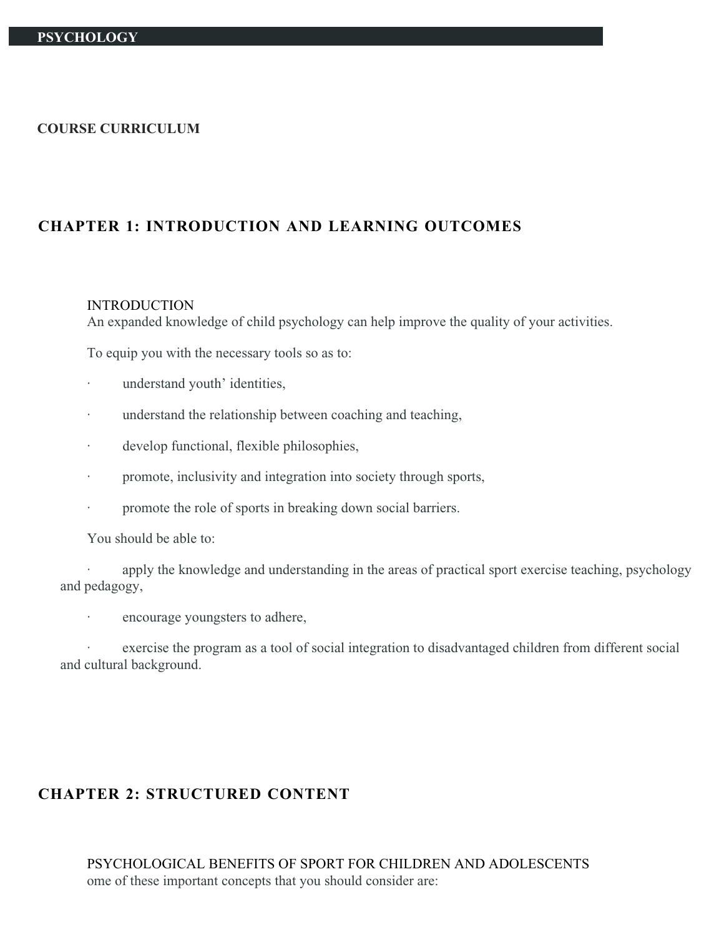#### **COURSE CURRICULUM**

## **CHAPTER 1: INTRODUCTION AND LEARNING OUTCOMES**

#### INTRODUCTION

An expanded knowledge of child psychology can help improve the quality of your activities.

To equip you with the necessary tools so as to:

- understand youth' identities,
- · understand the relationship between coaching and teaching,
- · develop functional, flexible philosophies,
- · promote, inclusivity and integration into society through sports,
- · promote the role of sports in breaking down social barriers.

You should be able to:

apply the knowledge and understanding in the areas of practical sport exercise teaching, psychology and pedagogy,

encourage youngsters to adhere,

exercise the program as a tool of social integration to disadvantaged children from different social and cultural background.

## **CHAPTER 2: STRUCTURED CONTENT**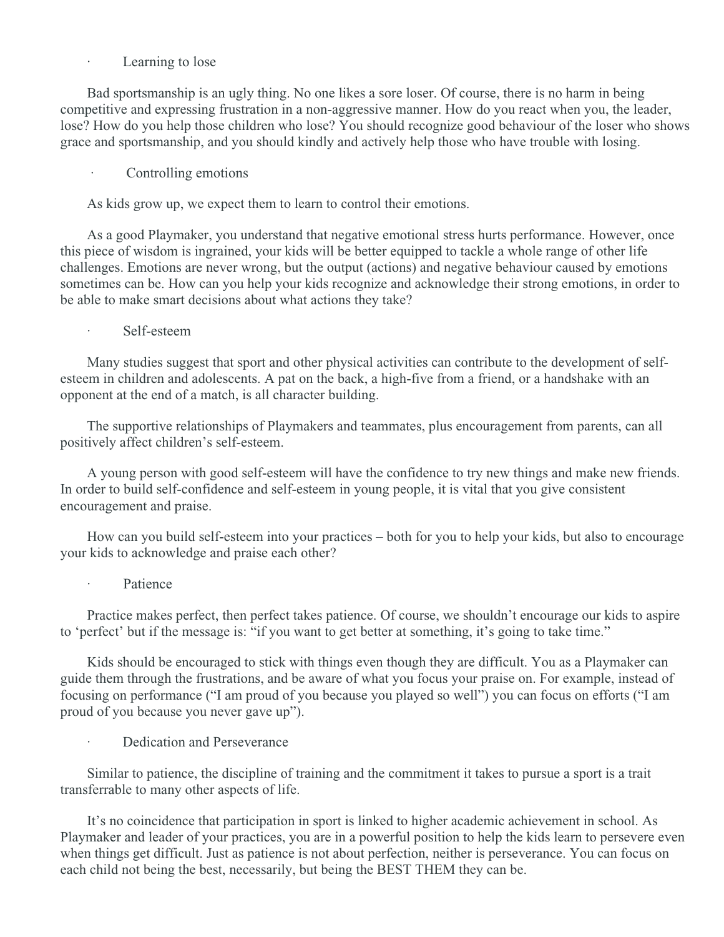#### Learning to lose

Bad sportsmanship is an ugly thing. No one likes a sore loser. Of course, there is no harm in being competitive and expressing frustration in a non-aggressive manner. How do you react when you, the leader, lose? How do you help those children who lose? You should recognize good behaviour of the loser who shows grace and sportsmanship, and you should kindly and actively help those who have trouble with losing.

Controlling emotions

As kids grow up, we expect them to learn to control their emotions.

As a good Playmaker, you understand that negative emotional stress hurts performance. However, once this piece of wisdom is ingrained, your kids will be better equipped to tackle a whole range of other life challenges. Emotions are never wrong, but the output (actions) and negative behaviour caused by emotions sometimes can be. How can you help your kids recognize and acknowledge their strong emotions, in order to be able to make smart decisions about what actions they take?

Self-esteem

Many studies suggest that sport and other physical activities can contribute to the development of selfesteem in children and adolescents. A pat on the back, a high-five from a friend, or a handshake with an opponent at the end of a match, is all character building.

The supportive relationships of Playmakers and teammates, plus encouragement from parents, can all positively affect children's self-esteem.

A young person with good self-esteem will have the confidence to try new things and make new friends. In order to build self-confidence and self-esteem in young people, it is vital that you give consistent encouragement and praise.

How can you build self-esteem into your practices – both for you to help your kids, but also to encourage your kids to acknowledge and praise each other?

#### · Patience

Practice makes perfect, then perfect takes patience. Of course, we shouldn't encourage our kids to aspire to 'perfect' but if the message is: "if you want to get better at something, it's going to take time."

Kids should be encouraged to stick with things even though they are difficult. You as a Playmaker can guide them through the frustrations, and be aware of what you focus your praise on. For example, instead of focusing on performance ("I am proud of you because you played so well") you can focus on efforts ("I am proud of you because you never gave up").

Dedication and Perseverance

Similar to patience, the discipline of training and the commitment it takes to pursue a sport is a trait transferrable to many other aspects of life.

It's no coincidence that participation in sport is linked to higher academic achievement in school. As Playmaker and leader of your practices, you are in a powerful position to help the kids learn to persevere even when things get difficult. Just as patience is not about perfection, neither is perseverance. You can focus on each child not being the best, necessarily, but being the BEST THEM they can be.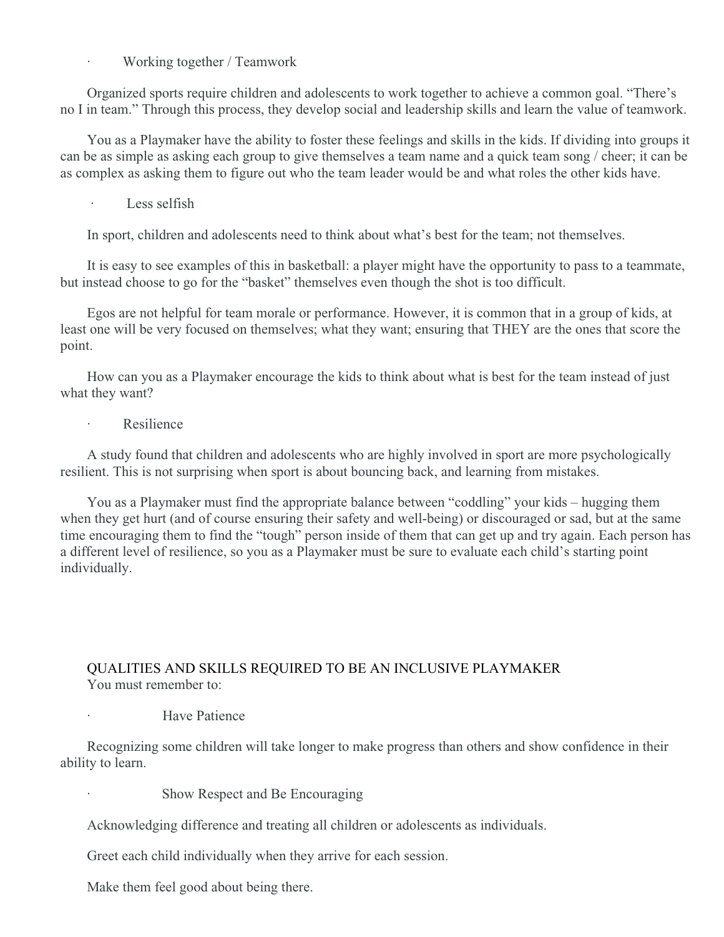Working together / Teamwork

Organized sports require children and adolescents to work together to achieve a common goal. "There's no I in team." Through this process, they develop social and leadership skills and learn the value of teamwork.

You as a Playmaker have the ability to foster these feelings and skills in the kids. If dividing into groups it can be as simple as asking each group to give themselves a team name and a quick team song / cheer; it can be as complex as asking them to figure out who the team leader would be and what roles the other kids have.

Less selfish

In sport, children and adolescents need to think about what's best for the team; not themselves.

It is easy to see examples of this in basketball: a player might have the opportunity to pass to a teammate, but instead choose to go for the "basket" themselves even though the shot is too difficult.

Egos are not helpful for team morale or performance. However, it is common that in a group of kids, at least one will be very focused on themselves; what they want; ensuring that THEY are the ones that score the point.

How can you as a Playmaker encourage the kids to think about what is best for the team instead of just what they want?

**Resilience** 

A study found that children and adolescents who are highly involved in sport are more psychologically resilient. This is not surprising when sport is about bouncing back, and learning from mistakes.

You as a Playmaker must find the appropriate balance between "coddling" your kids – hugging them when they get hurt (and of course ensuring their safety and well-being) or discouraged or sad, but at the same time encouraging them to find the "tough" person inside of them that can get up and try again. Each person has a different level of resilience, so you as a Playmaker must be sure to evaluate each child's starting point individually.

#### QUALITIES AND SKILLS REQUIRED TO BE AN INCLUSIVE PLAYMAKER You must remember to:

**Have Patience** 

Recognizing some children will take longer to make progress than others and show confidence in their ability to learn.

Show Respect and Be Encouraging

Acknowledging difference and treating all children or adolescents as individuals.

Greet each child individually when they arrive for each session.

Make them feel good about being there.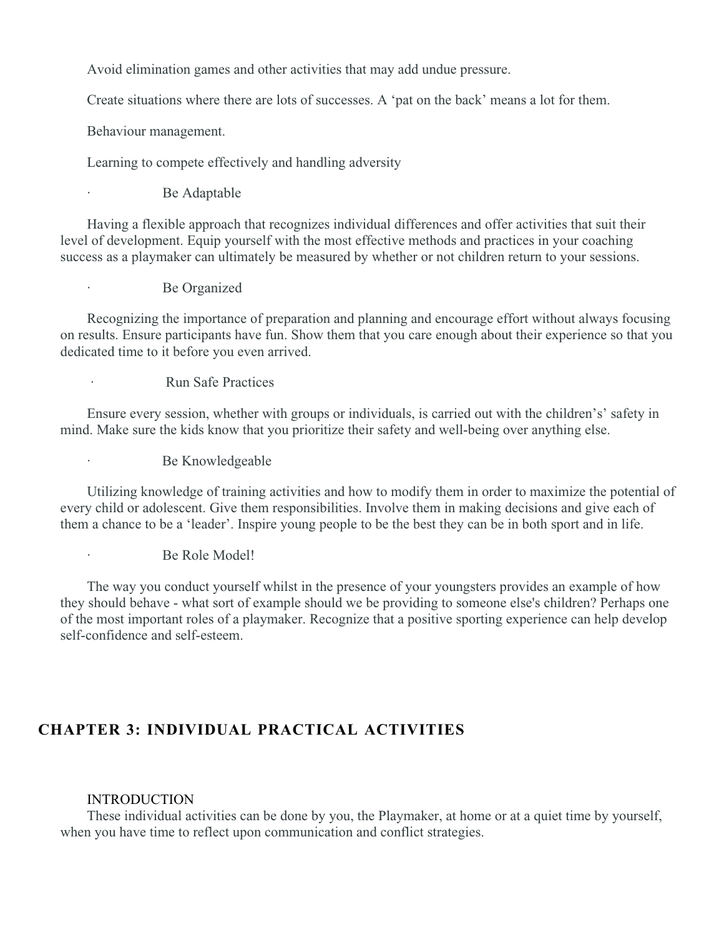Avoid elimination games and other activities that may add undue pressure.

Create situations where there are lots of successes. A 'pat on the back' means a lot for them.

Behaviour management.

Learning to compete effectively and handling adversity

#### Be Adaptable

Having a flexible approach that recognizes individual differences and offer activities that suit their level of development. Equip yourself with the most effective methods and practices in your coaching success as a playmaker can ultimately be measured by whether or not children return to your sessions.

Be Organized

Recognizing the importance of preparation and planning and encourage effort without always focusing on results. Ensure participants have fun. Show them that you care enough about their experience so that you dedicated time to it before you even arrived.

· Run Safe Practices

Ensure every session, whether with groups or individuals, is carried out with the children's' safety in mind. Make sure the kids know that you prioritize their safety and well-being over anything else.

Be Knowledgeable

Utilizing knowledge of training activities and how to modify them in order to maximize the potential of every child or adolescent. Give them responsibilities. Involve them in making decisions and give each of them a chance to be a 'leader'. Inspire young people to be the best they can be in both sport and in life.

Be Role Model!

The way you conduct yourself whilst in the presence of your youngsters provides an example of how they should behave - what sort of example should we be providing to someone else's children? Perhaps one of the most important roles of a playmaker. Recognize that a positive sporting experience can help develop self-confidence and self-esteem.

# **CHAPTER 3: INDIVIDUAL PRACTICAL ACTIVITIES**

#### INTRODUCTION

These individual activities can be done by you, the Playmaker, at home or at a quiet time by yourself, when you have time to reflect upon communication and conflict strategies.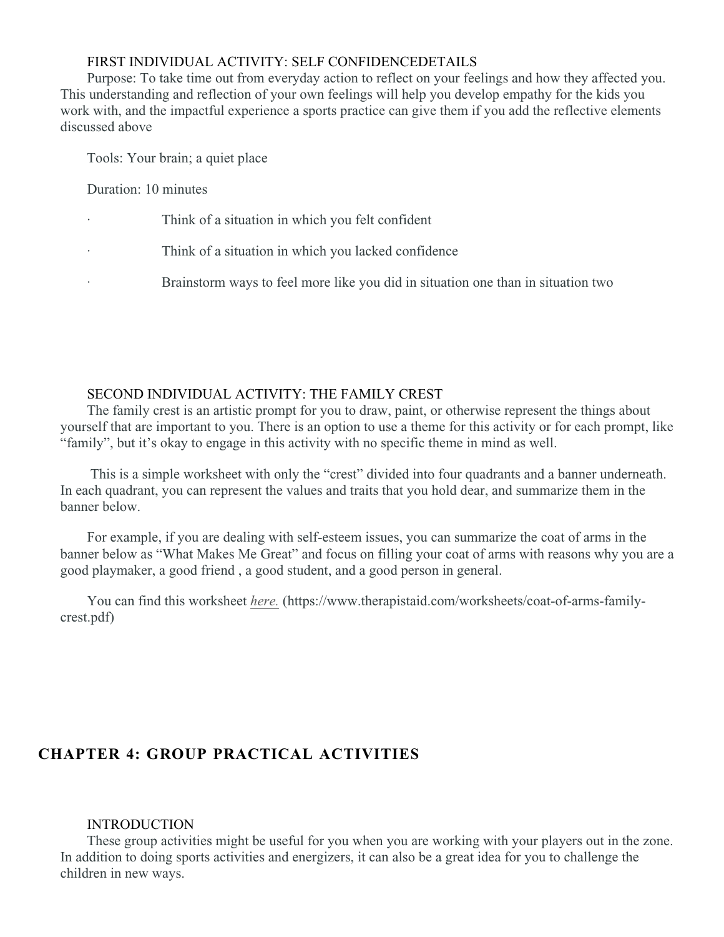### FIRST INDIVIDUAL ACTIVITY: SELF CONFIDENCEDETAILS

Purpose: To take time out from everyday action to reflect on your feelings and how they affected you. This understanding and reflection of your own feelings will help you develop empathy for the kids you work with, and the impactful experience a sports practice can give them if you add the reflective elements discussed above

Tools: Your brain; a quiet place

Duration: 10 minutes

- Think of a situation in which you felt confident
- Think of a situation in which you lacked confidence
	- · Brainstorm ways to feel more like you did in situation one than in situation two

#### SECOND INDIVIDUAL ACTIVITY: THE FAMILY CREST

The family crest is an artistic prompt for you to draw, paint, or otherwise represent the things about yourself that are important to you. There is an option to use a theme for this activity or for each prompt, like "family", but it's okay to engage in this activity with no specific theme in mind as well.

 This is a simple worksheet with only the "crest" divided into four quadrants and a banner underneath. In each quadrant, you can represent the values and traits that you hold dear, and summarize them in the banner below.

For example, if you are dealing with self-esteem issues, you can summarize the coat of arms in the banner below as "What Makes Me Great" and focus on filling your coat of arms with reasons why you are a good playmaker, a good friend , a good student, and a good person in general.

You can find this worksheet *[here.](https://www.therapistaid.com/worksheets/coat-of-arms-family-crest.pdf)* (https://www.therapistaid.com/worksheets/coat-of-arms-familycrest.pdf)

# **CHAPTER 4: GROUP PRACTICAL ACTIVITIES**

#### INTRODUCTION

These group activities might be useful for you when you are working with your players out in the zone. In addition to doing sports activities and energizers, it can also be a great idea for you to challenge the children in new ways.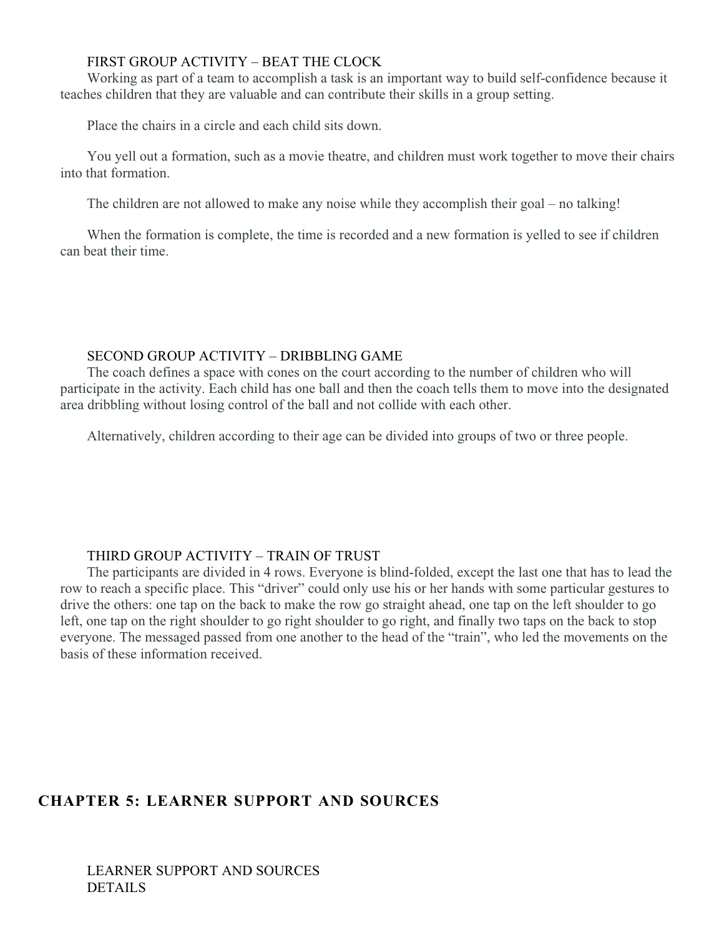## FIRST GROUP ACTIVITY – BEAT THE CLOCK

Working as part of a team to accomplish a task is an important way to build self-confidence because it teaches children that they are valuable and can contribute their skills in a group setting.

Place the chairs in a circle and each child sits down.

You yell out a formation, such as a movie theatre, and children must work together to move their chairs into that formation.

The children are not allowed to make any noise while they accomplish their goal – no talking!

When the formation is complete, the time is recorded and a new formation is yelled to see if children can beat their time.

#### SECOND GROUP ACTIVITY – DRIBBLING GAME

The coach defines a space with cones on the court according to the number of children who will participate in the activity. Each child has one ball and then the coach tells them to move into the designated area dribbling without losing control of the ball and not collide with each other.

Alternatively, children according to their age can be divided into groups of two or three people.

### THIRD GROUP ACTIVITY – TRAIN OF TRUST

The participants are divided in 4 rows. Everyone is blind-folded, except the last one that has to lead the row to reach a specific place. This "driver" could only use his or her hands with some particular gestures to drive the others: one tap on the back to make the row go straight ahead, one tap on the left shoulder to go left, one tap on the right shoulder to go right shoulder to go right, and finally two taps on the back to stop everyone. The messaged passed from one another to the head of the "train", who led the movements on the basis of these information received.

# **CHAPTER 5: LEARNER SUPPORT AND SOURCES**